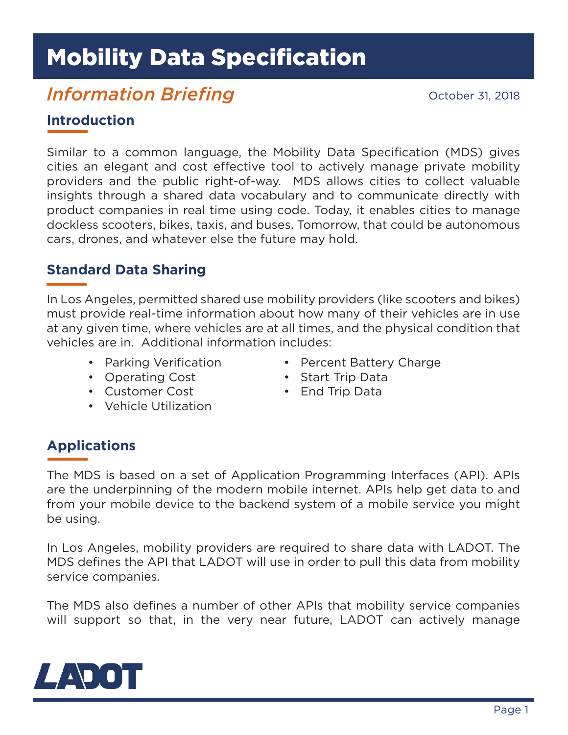# Mobility Data Specification

# *Information Briefing*

October 31, 2018

# **Introduction**

Similar to a common language, the Mobility Data Specification (MDS) gives cities an elegant and cost effective tool to actively manage private mobility providers and the public right-of-way. MDS allows cities to collect valuable insights through a shared data vocabulary and to communicate directly with product companies in real time using code. Today, it enables cities to manage dockless scooters, bikes, taxis, and buses. Tomorrow, that could be autonomous cars, drones, and whatever else the future may hold.

#### **Standard Data Sharing**

In Los Angeles, permitted shared use mobility providers (like scooters and bikes) must provide real-time information about how many of their vehicles are in use at any given time, where vehicles are at all times, and the physical condition that vehicles are in. Additional information includes:

- Parking Verification
- Percent Battery Charge
- Operating Cost
- Start Trip Data • End Trip Data
- Customer Cost
- Vehicle Utilization

## **Applications**

The MDS is based on a set of Application Programming Interfaces (API). APIs are the underpinning of the modern mobile internet. APIs help get data to and from your mobile device to the backend system of a mobile service you might be using.

In Los Angeles, mobility providers are required to share data with LADOT. The MDS defines the API that LADOT will use in order to pull this data from mobility service companies.

The MDS also defines a number of other APIs that mobility service companies will support so that, in the very near future, LADOT can actively manage